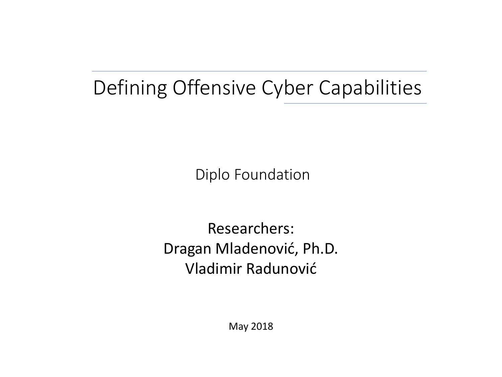# Defining Offensive Cyber Capabilities

Diplo Foundation

Researchers: Dragan Mladenović, Ph.D. Vladimir Radunović

May 2018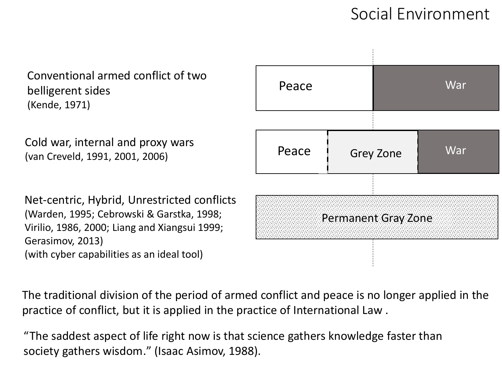### Social Environment

Conventional armed conflict of two belligerent sides (Kende, 1971)

Cold war, internal and proxy wars (van Creveld, 1991, 2001, 2006)

Net-centric, Hybrid, Unrestricted conflicts (Warden, 1995; Cebrowski & Garstka, 1998; Virilio, 1986, 2000; Liang and Xiangsui 1999; Gerasimov, 2013) (with cyber capabilities as an ideal tool)



The traditional division of the period of armed conflict and peace is no longer applied in the practice of conflict, but it is applied in the practice of International Law .

"The saddest aspect of life right now is that science gathers knowledge faster than society gathers wisdom." (Isaac Asimov, 1988).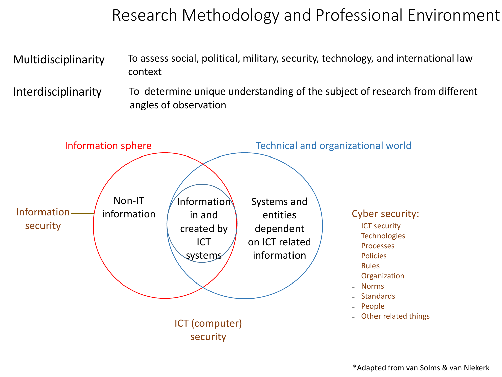# Research Methodology and Professional Environment

Multidisciplinarity To assess social, political, military, security, technology, and international law context

Interdisciplinarity To determine unique understanding of the subject of research from different angles of observation

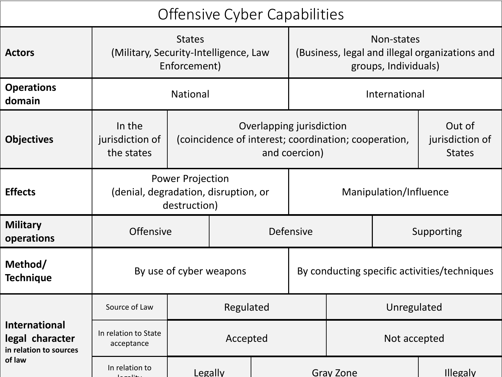# Offensive Cyber Capabilities

| <b>Actors</b>                                                     | (Military, Security-Intelligence, Law<br>Enforcement)                           |           | Non-states<br>(Business, legal and illegal organizations and<br>groups, Individuals) |                          |                                              |                                                      |                                            |          |  |  |
|-------------------------------------------------------------------|---------------------------------------------------------------------------------|-----------|--------------------------------------------------------------------------------------|--------------------------|----------------------------------------------|------------------------------------------------------|--------------------------------------------|----------|--|--|
| <b>Operations</b><br>domain                                       | <b>National</b>                                                                 |           |                                                                                      |                          | International                                |                                                      |                                            |          |  |  |
| <b>Objectives</b>                                                 | In the<br>jurisdiction of<br>the states                                         |           |                                                                                      | Overlapping jurisdiction | and coercion)                                | (coincidence of interest; coordination; cooperation, | Out of<br>jurisdiction of<br><b>States</b> |          |  |  |
| <b>Effects</b>                                                    | <b>Power Projection</b><br>(denial, degradation, disruption, or<br>destruction) |           |                                                                                      |                          | Manipulation/Influence                       |                                                      |                                            |          |  |  |
| <b>Military</b><br>operations                                     | <b>Offensive</b>                                                                | Defensive |                                                                                      |                          | Supporting                                   |                                                      |                                            |          |  |  |
| Method/<br><b>Technique</b>                                       | By use of cyber weapons                                                         |           |                                                                                      |                          | By conducting specific activities/techniques |                                                      |                                            |          |  |  |
|                                                                   | Source of Law                                                                   |           | Regulated                                                                            |                          | Unregulated                                  |                                                      |                                            |          |  |  |
| <b>International</b><br>legal character<br>in relation to sources | In relation to State<br>acceptance                                              |           | Accepted                                                                             |                          | Not accepted                                 |                                                      |                                            |          |  |  |
| of law                                                            | In relation to                                                                  |           | Legally                                                                              |                          | <b>Gray Zone</b>                             |                                                      |                                            | Illegaly |  |  |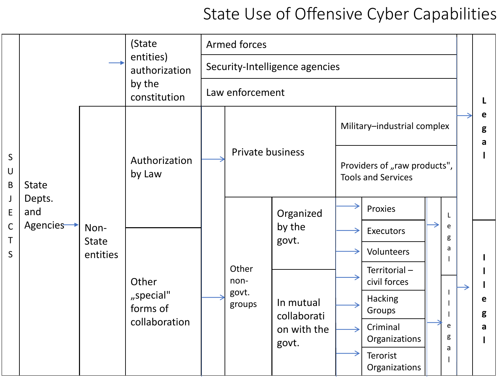# State Use of Offensive Cyber Capabilities

|                             |                            |                                  | (State<br>entities)<br>authorization            | <b>Armed forces</b>            |                                  |                                                                                  |                                                           |                                            |                  |        |  |             |
|-----------------------------|----------------------------|----------------------------------|-------------------------------------------------|--------------------------------|----------------------------------|----------------------------------------------------------------------------------|-----------------------------------------------------------|--------------------------------------------|------------------|--------|--|-------------|
|                             |                            |                                  |                                                 | Security-Intelligence agencies |                                  |                                                                                  |                                                           |                                            |                  |        |  |             |
| $\mathsf{S}$<br>$\cup$<br>B |                            |                                  | by the<br>constitution                          | Law enforcement                |                                  |                                                                                  |                                                           |                                            |                  |        |  |             |
|                             |                            | Non-<br><b>State</b><br>entities | Authorization<br>by Law                         |                                | Private business                 |                                                                                  | Military-industrial complex                               |                                            |                  |        |  | e<br>g<br>a |
|                             | <b>State</b>               |                                  |                                                 |                                |                                  |                                                                                  | Providers of "raw products",<br><b>Tools and Services</b> |                                            |                  |        |  |             |
| J<br>E<br>$\mathsf C$       | Depts.<br>and<br>Agencies- |                                  |                                                 |                                | Other<br>non-<br>govt.<br>groups | Organized<br>by the<br>govt.<br>In mutual<br>collaborati<br>on with the<br>govt. |                                                           | Proxies                                    | L<br>e<br>g<br>a |        |  |             |
| T                           |                            |                                  | Other<br>"special"<br>forms of<br>collaboration |                                |                                  |                                                                                  |                                                           | <b>Executors</b>                           |                  |        |  |             |
| S                           |                            |                                  |                                                 |                                |                                  |                                                                                  |                                                           | Volunteers<br>Territorial-<br>civil forces |                  |        |  |             |
|                             |                            |                                  |                                                 |                                |                                  |                                                                                  |                                                           | Hacking<br>Groups                          |                  |        |  | e<br>g      |
|                             |                            |                                  |                                                 |                                |                                  |                                                                                  |                                                           | Criminal<br>Organizations                  |                  | e<br>g |  | a           |
|                             |                            |                                  |                                                 |                                |                                  |                                                                                  |                                                           | Terorist<br>Organizations                  |                  | a      |  |             |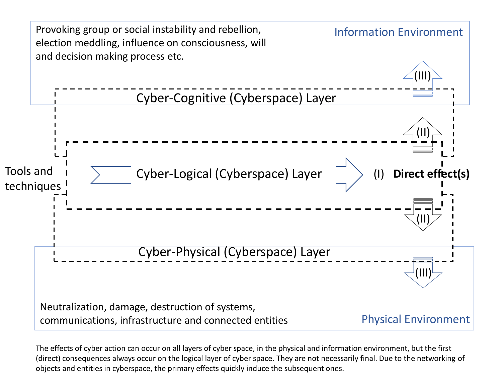

The effects of cyber action can occur on all layers of cyber space, in the physical and information environment, but the first (direct) consequences always occur on the logical layer of cyber space. They are not necessarily final. Due to the networking of objects and entities in cyberspace, the primary effects quickly induce the subsequent ones.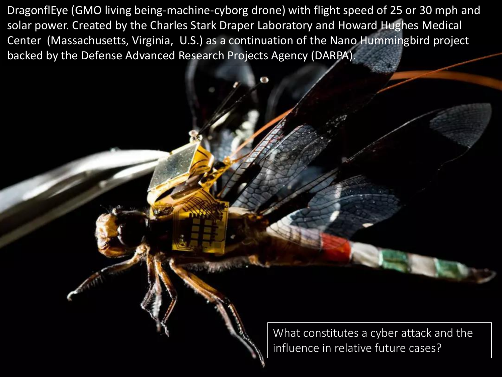DragonflEye (GMO living being-machine-cyborg drone) with flight speed of 25 or 30 mph and solar power. Created by the Charles Stark Draper Laboratory and Howard Hughes Medical Center (Massachusetts, Virginia, U.S.) as a continuation of the Nano Hummingbird project backed by the Defense Advanced Research Projects Agency (DARPA).

> What constitutes a cyber attack and the influence in relative future cases?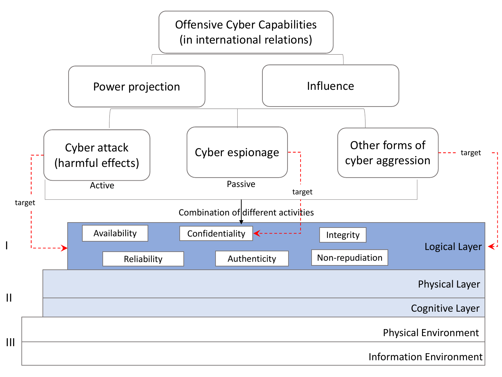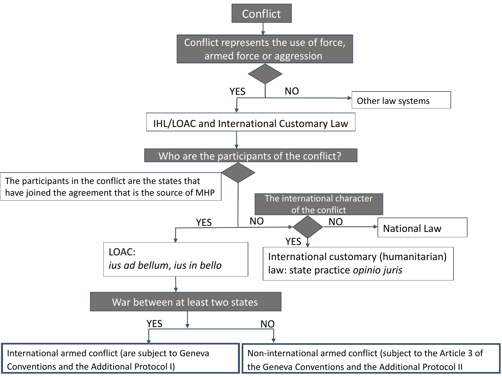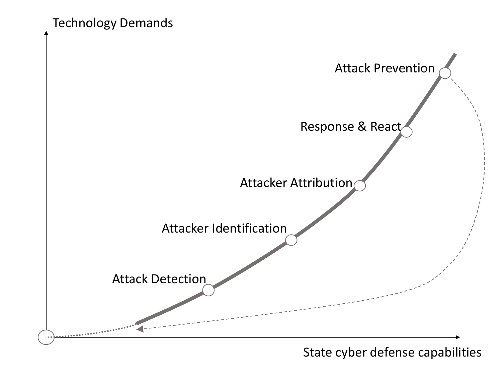Technology Demands



State cyber defense capabilities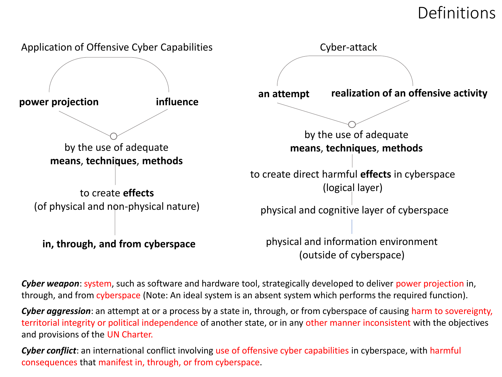# Definitions



*Cyber weapon*: system, such as software and hardware tool, strategically developed to deliver power projection in, through, and from cyberspace (Note: An ideal system is an absent system which performs the required function).

*Cyber aggression*: an attempt at or a process by a state in, through, or from cyberspace of causing harm to sovereignty, territorial integrity or political independence of another state, or in any other manner inconsistent with the objectives and provisions of the UN Charter.

*Cyber conflict*: an international conflict involving use of offensive cyber capabilities in cyberspace, with harmful consequences that manifest in, through, or from cyberspace.